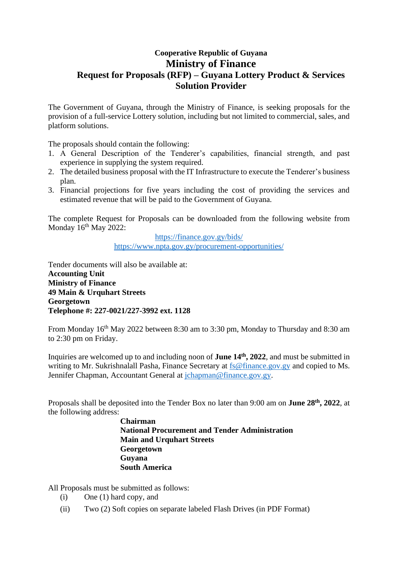## **Cooperative Republic of Guyana Ministry of Finance Request for Proposals (RFP) – Guyana Lottery Product & Services Solution Provider**

The Government of Guyana, through the Ministry of Finance, is seeking proposals for the provision of a full-service Lottery solution, including but not limited to commercial, sales, and platform solutions.

The proposals should contain the following:

- 1. A General Description of the Tenderer's capabilities, financial strength, and past experience in supplying the system required.
- 2. The detailed business proposal with the IT Infrastructure to execute the Tenderer's business plan.
- 3. Financial projections for five years including the cost of providing the services and estimated revenue that will be paid to the Government of Guyana.

The complete Request for Proposals can be downloaded from the following website from Monday  $16<sup>th</sup>$  May 2022:

> <https://finance.gov.gy/bids/> <https://www.npta.gov.gy/procurement-opportunities/>

Tender documents will also be available at: **Accounting Unit Ministry of Finance 49 Main & Urquhart Streets Georgetown Telephone #: 227-0021/227-3992 ext. 1128**

From Monday 16<sup>th</sup> May 2022 between 8:30 am to 3:30 pm, Monday to Thursday and 8:30 am to 2:30 pm on Friday.

Inquiries are welcomed up to and including noon of **June 14th, 2022**, and must be submitted in writing to Mr. Sukrishnalall Pasha, Finance Secretary at [fs@finance.gov.gy](mailto:spasha@finance.gov.gy) and copied to Ms. Jennifer Chapman, Accountant General at [jchapman@finance.gov.gy.](mailto:jchapman@finance.gov.gy)

Proposals shall be deposited into the Tender Box no later than 9:00 am on **June 28th, 2022**, at the following address:

> **Chairman National Procurement and Tender Administration Main and Urquhart Streets Georgetown Guyana South America**

All Proposals must be submitted as follows:

- (i) One (1) hard copy, and
- (ii) Two (2) Soft copies on separate labeled Flash Drives (in PDF Format)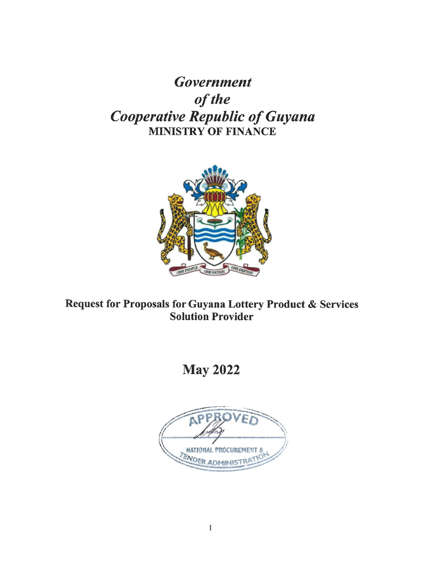**Government** of the **Cooperative Republic of Guyana MINISTRY OF FINANCE** 



Request for Proposals for Guyana Lottery Product & Services **Solution Provider** 

# **May 2022**

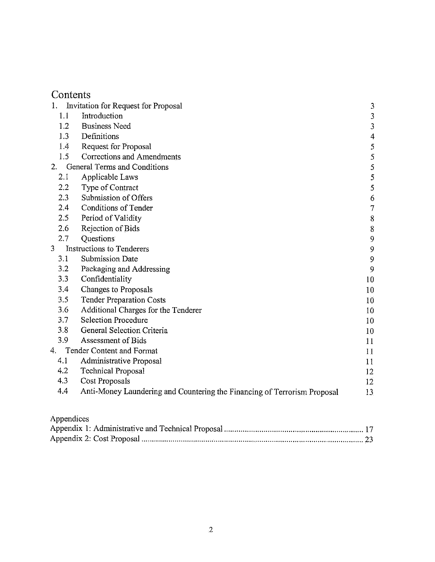|                  | Invitation for Request for Proposal                                      | 3              |
|------------------|--------------------------------------------------------------------------|----------------|
| 1.1              | Introduction                                                             | 3              |
| 1.2              | <b>Business Need</b>                                                     | 3              |
| 1.3              | Definitions                                                              | 4              |
| 1.4              | Request for Proposal                                                     | 5              |
| 1.5              | Corrections and Amendments                                               | 5              |
| $\overline{2}$ . | General Terms and Conditions                                             | $\overline{5}$ |
| 2.1              | Applicable Laws                                                          | 5              |
| 2.2              | Type of Contract                                                         | 5              |
| 2.3              | Submission of Offers                                                     | 6              |
| 2.4              | <b>Conditions of Tender</b>                                              | $\tau$         |
| 2.5              | Period of Validity                                                       | 8              |
| 2.6              | Rejection of Bids                                                        | 8              |
| 2.7              | Questions                                                                | 9              |
| 3                | <b>Instructions to Tenderers</b>                                         | 9              |
| 3.1              | Submission Date                                                          | 9              |
| 3.2              | Packaging and Addressing                                                 | 9              |
| 3.3              | Confidentiality                                                          | 10             |
| 3.4              | Changes to Proposals                                                     | 10             |
| 3.5              | <b>Tender Preparation Costs</b>                                          | 10             |
| 3.6              | Additional Charges for the Tenderer                                      | 10             |
| 3.7              | <b>Selection Procedure</b>                                               | 10             |
| 3.8              | General Selection Criteria                                               | 10             |
| 3.9              | Assessment of Bids                                                       | 11             |
| 4.               | <b>Tender Content and Format</b>                                         | 11             |
| 4.1              | Administrative Proposal                                                  | 11             |
| 4.2              | <b>Technical Proposal</b>                                                | 12             |
| 4.3              | Cost Proposals                                                           | 12             |
| 4.4              | Anti-Money Laundering and Countering the Financing of Terrorism Proposal | 13             |
|                  |                                                                          |                |

Appendices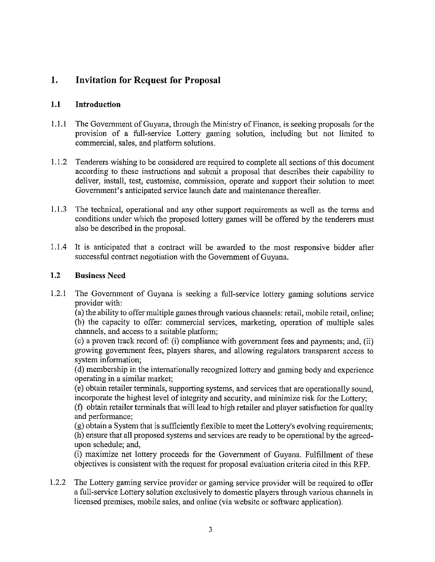#### $1.$ **Invitation for Request for Proposal**

#### $1.1$ **Introduction**

- $1.1.1$ The Government of Guyana, through the Ministry of Finance, is seeking proposals for the provision of a full-service Lottery gaming solution, including but not limited to commercial, sales, and platform solutions.
- $1.1.2$ Tenderers wishing to be considered are required to complete all sections of this document according to these instructions and submit a proposal that describes their capability to deliver, install, test, customise, commission, operate and support their solution to meet Government's anticipated service launch date and maintenance thereafter.
- $1.1.3$ The technical, operational and any other support requirements as well as the terms and conditions under which the proposed lottery games will be offered by the tenderers must also be described in the proposal.
- $1.1.4$ It is anticipated that a contract will be awarded to the most responsive bidder after successful contract negotiation with the Government of Guyana.

#### $1.2$ **Business Need**

 $1.2.1$ The Government of Guyana is seeking a full-service lottery gaming solutions service provider with:

(a) the ability to offer multiple games through various channels: retail, mobile retail, online; (b) the capacity to offer: commercial services, marketing, operation of multiple sales channels, and access to a suitable platform;

(c) a proven track record of: (i) compliance with government fees and payments; and, (ii) growing government fees, players shares, and allowing regulators transparent access to system information;

(d) membership in the internationally recognized lottery and gaming body and experience operating in a similar market;

(e) obtain retailer terminals, supporting systems, and services that are operationally sound, incorporate the highest level of integrity and security, and minimize risk for the Lottery;

(f) obtain retailer terminals that will lead to high retailer and player satisfaction for quality and performance:

(g) obtain a System that is sufficiently flexible to meet the Lottery's evolving requirements; (h) ensure that all proposed systems and services are ready to be operational by the agreedupon schedule; and,

(i) maximize net lottery proceeds for the Government of Guyana. Fulfillment of these objectives is consistent with the request for proposal evaluation criteria cited in this RFP.

 $1.2.2$ The Lottery gaming service provider or gaming service provider will be required to offer a full-service Lottery solution exclusively to domestic players through various channels in licensed premises, mobile sales, and online (via website or software application).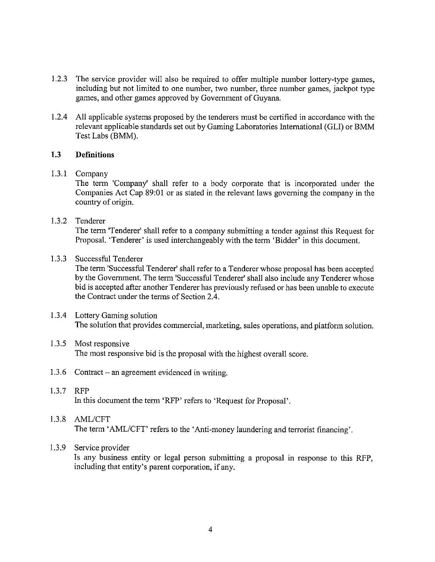- $1.2.3$ The service provider will also be required to offer multiple number lottery-type games, including but not limited to one number, two number, three number games, jackpot type games, and other games approved by Government of Guyana.
- $1.2.4$ All applicable systems proposed by the tenderers must be certified in accordance with the relevant applicable standards set out by Gaming Laboratories International (GLI) or BMM Test Labs (BMM).

#### $1.3$ **Definitions**

### $1.3.1$  Company

The term 'Company' shall refer to a body corporate that is incorporated under the Companies Act Cap 89:01 or as stated in the relevant laws governing the company in the country of origin.

#### $1.3.2$ Tenderer

The term 'Tenderer' shall refer to a company submitting a tender against this Request for Proposal. 'Tenderer' is used interchangeably with the term 'Bidder' in this document.

#### $1.3.3$ Successful Tenderer

The term 'Successful Tenderer' shall refer to a Tenderer whose proposal has been accepted by the Government. The term 'Successful Tenderer' shall also include any Tenderer whose bid is accepted after another Tenderer has previously refused or has been unable to execute the Contract under the terms of Section 2.4.

## 1.3.4 Lottery Gaming solution The solution that provides commercial, marketing, sales operations, and platform solution.

#### $1.3.5$ Most responsive The most responsive bid is the proposal with the highest overall score.

1.3.6 Contract – an agreement evidenced in writing.

## 1.3.7 RFP

In this document the term 'RFP' refers to 'Request for Proposal'.

## 1.3.8 AML/CFT The term 'AML/CFT' refers to the 'Anti-money laundering and terrorist financing'.

#### $1.3.9$ Service provider

Is any business entity or legal person submitting a proposal in response to this RFP, including that entity's parent corporation, if any.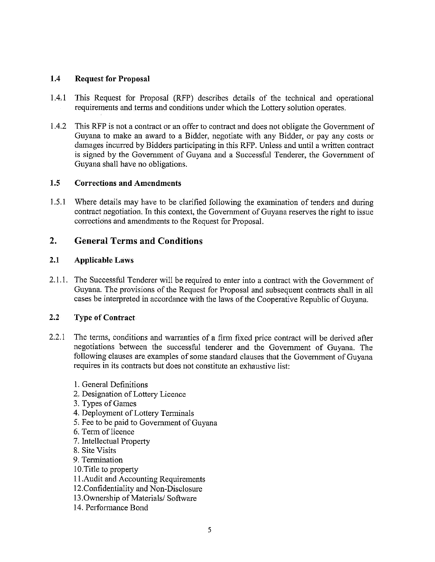#### $1.4$ **Request for Proposal**

- $1.4.1$ This Request for Proposal (RFP) describes details of the technical and operational requirements and terms and conditions under which the Lottery solution operates.
- $1.4.2$ This RFP is not a contract or an offer to contract and does not obligate the Government of Guyana to make an award to a Bidder, negotiate with any Bidder, or pay any costs or damages incurred by Bidders participating in this RFP. Unless and until a written contract is signed by the Government of Guyana and a Successful Tenderer, the Government of Guyana shall have no obligations.

#### $1.5$ **Corrections and Amendments**

 $1.5.1$ Where details may have to be clarified following the examination of tenders and during contract negotiation. In this context, the Government of Guyana reserves the right to issue corrections and amendments to the Request for Proposal.

#### $2.$ **General Terms and Conditions**

#### $2.1$ **Applicable Laws**

2.1.1. The Successful Tenderer will be required to enter into a contract with the Government of Guyana. The provisions of the Request for Proposal and subsequent contracts shall in all cases be interpreted in accordance with the laws of the Cooperative Republic of Guyana.

#### $2.2^{\circ}$ **Type of Contract**

- $2.2.1$ The terms, conditions and warranties of a firm fixed price contract will be derived after negotiations between the successful tenderer and the Government of Guyana. The following clauses are examples of some standard clauses that the Government of Guyana requires in its contracts but does not constitute an exhaustive list:
	- 1. General Definitions
	- 2. Designation of Lottery Licence
	- 3. Types of Games
	- 4. Deployment of Lottery Terminals
	- 5. Fee to be paid to Government of Guyana
	- 6. Term of licence
	- 7. Intellectual Property
	- 8. Site Visits
	- 9. Termination
	- 10. Title to property
	- 11. Audit and Accounting Requirements
	- 12. Confidentiality and Non-Disclosure
	- 13. Ownership of Materials/Software
	- 14. Performance Bond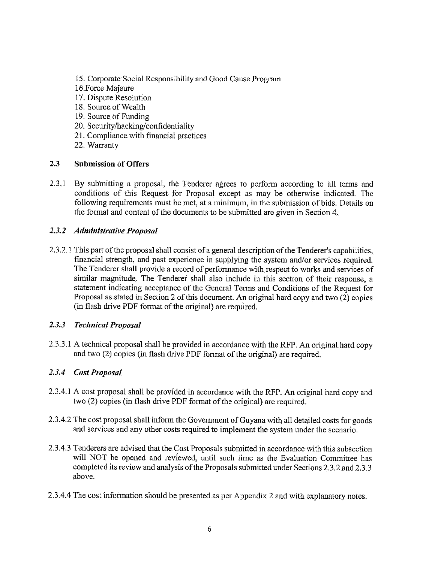- 15. Corporate Social Responsibility and Good Cause Program
- 16. Force Majeure
- 17. Dispute Resolution
- 18. Source of Wealth
- 19. Source of Funding
- 20. Security/hacking/confidentiality
- 21. Compliance with financial practices
- 22. Warranty

#### $2.3$ **Submission of Offers**

 $2.3.1$ By submitting a proposal, the Tenderer agrees to perform according to all terms and conditions of this Request for Proposal except as may be otherwise indicated. The following requirements must be met, at a minimum, in the submission of bids. Details on the format and content of the documents to be submitted are given in Section 4.

## 2.3.2 Administrative Proposal

2.3.2.1 This part of the proposal shall consist of a general description of the Tenderer's capabilities, financial strength, and past experience in supplying the system and/or services required. The Tenderer shall provide a record of performance with respect to works and services of similar magnitude. The Tenderer shall also include in this section of their response, a statement indicating acceptance of the General Terms and Conditions of the Request for Proposal as stated in Section 2 of this document. An original hard copy and two (2) copies (in flash drive PDF format of the original) are required.

## 2.3.3 Technical Proposal

2.3.3.1 A technical proposal shall be provided in accordance with the RFP. An original hard copy and two (2) copies (in flash drive PDF format of the original) are required.

## 2.3.4 Cost Proposal

- 2.3.4.1 A cost proposal shall be provided in accordance with the RFP. An original hard copy and two (2) copies (in flash drive PDF format of the original) are required.
- 2.3.4.2 The cost proposal shall inform the Government of Guyana with all detailed costs for goods and services and any other costs required to implement the system under the scenario.
- 2.3.4.3 Tenderers are advised that the Cost Proposals submitted in accordance with this subsection will NOT be opened and reviewed, until such time as the Evaluation Committee has completed its review and analysis of the Proposals submitted under Sections 2.3.2 and 2.3.3 above.
- 2.3.4.4 The cost information should be presented as per Appendix 2 and with explanatory notes.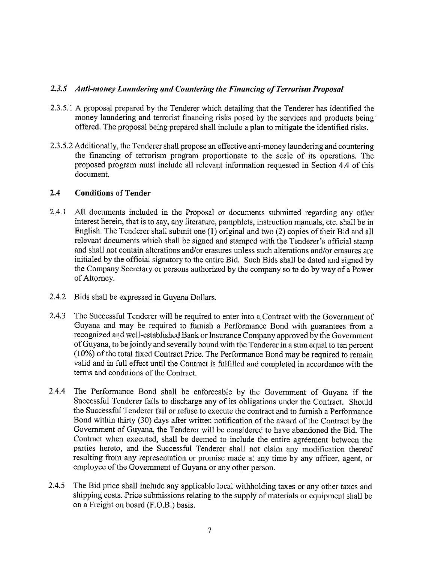## 2.3.5 Anti-money Laundering and Countering the Financing of Terrorism Proposal

- 2.3.5.1 A proposal prepared by the Tenderer which detailing that the Tenderer has identified the money laundering and terrorist financing risks posed by the services and products being offered. The proposal being prepared shall include a plan to mitigate the identified risks.
- 2.3.5.2 Additionally, the Tenderer shall propose an effective anti-money laundering and countering the financing of terrorism program proportionate to the scale of its operations. The proposed program must include all relevant information requested in Section 4.4 of this document.

#### $2.4$ **Conditions of Tender**

- $2.4.1$ All documents included in the Proposal or documents submitted regarding any other interest herein, that is to say, any literature, pamphlets, instruction manuals, etc. shall be in English. The Tenderer shall submit one (1) original and two (2) copies of their Bid and all relevant documents which shall be signed and stamped with the Tenderer's official stamp and shall not contain alterations and/or erasures unless such alterations and/or erasures are initialed by the official signatory to the entire Bid. Such Bids shall be dated and signed by the Company Secretary or persons authorized by the company so to do by way of a Power of Attorney.
- 2.4.2 Bids shall be expressed in Guyana Dollars.
- $2.4.3$ The Successful Tenderer will be required to enter into a Contract with the Government of Guyana and may be required to furnish a Performance Bond with guarantees from a recognized and well-established Bank or Insurance Company approved by the Government of Guyana, to be jointly and severally bound with the Tenderer in a sum equal to ten percent  $(10\%)$  of the total fixed Contract Price. The Performance Bond may be required to remain valid and in full effect until the Contract is fulfilled and completed in accordance with the terms and conditions of the Contract.
- $2.4.4$ The Performance Bond shall be enforceable by the Government of Guyana if the Successful Tenderer fails to discharge any of its obligations under the Contract. Should the Successful Tenderer fail or refuse to execute the contract and to furnish a Performance Bond within thirty (30) days after written notification of the award of the Contract by the Government of Guyana, the Tenderer will be considered to have abandoned the Bid. The Contract when executed, shall be deemed to include the entire agreement between the parties hereto, and the Successful Tenderer shall not claim any modification thereof resulting from any representation or promise made at any time by any officer, agent, or employee of the Government of Guyana or any other person.
- $2.4.5$ The Bid price shall include any applicable local withholding taxes or any other taxes and shipping costs. Price submissions relating to the supply of materials or equipment shall be on a Freight on board (F.O.B.) basis.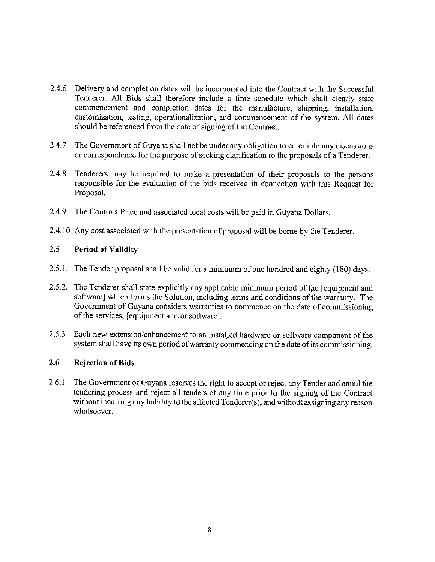- 2.4.6 Delivery and completion dates will be incorporated into the Contract with the Successful Tenderer. All Bids shall therefore include a time schedule which shall clearly state commencement and completion dates for the manufacture, shipping, installation, customization, testing, operationalization, and commencement of the system. All dates should be referenced from the date of signing of the Contract.
- $2.4.7$ The Government of Guyana shall not be under any obligation to enter into any discussions or correspondence for the purpose of seeking clarification to the proposals of a Tenderer.
- $2.4.8$ Tenderers may be required to make a presentation of their proposals to the persons responsible for the evaluation of the bids received in connection with this Request for Proposal.
- $2.4.9$ The Contract Price and associated local costs will be paid in Guyana Dollars.
- 2.4.10 Any cost associated with the presentation of proposal will be borne by the Tenderer.

#### $2.5^{\circ}$ **Period of Validity**

- 2.5.1. The Tender proposal shall be valid for a minimum of one hundred and eighty (180) days.
- 2.5.2. The Tenderer shall state explicitly any applicable minimum period of the [equipment and software] which forms the Solution, including terms and conditions of the warranty. The Government of Guyana considers warranties to commence on the date of commissioning of the services, [equipment and or software].
- $2.5.3$ Each new extension/enhancement to an installed hardware or software component of the system shall have its own period of warranty commencing on the date of its commissioning.

#### $2.6$ **Rejection of Bids**

 $2.6.1$ The Government of Guyana reserves the right to accept or reject any Tender and annul the tendering process and reject all tenders at any time prior to the signing of the Contract without incurring any liability to the affected Tenderer(s), and without assigning any reason whatsoever.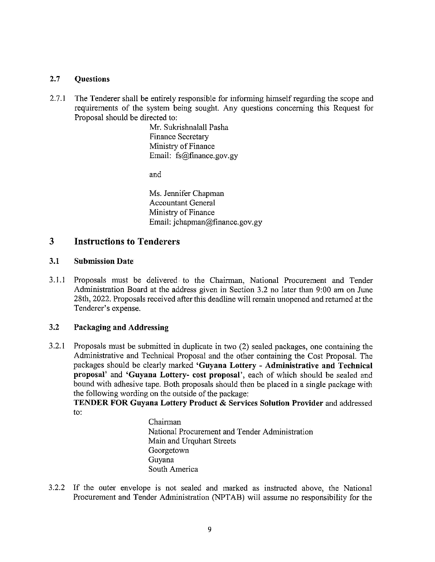#### $2.7$ **Questions**

 $2.7.1$ The Tenderer shall be entirely responsible for informing himself regarding the scope and requirements of the system being sought. Any questions concerning this Request for Proposal should be directed to:

> Mr. Sukrishnalall Pasha **Finance Secretary** Ministry of Finance Email: fs@finance.gov.gy

and

Ms. Jennifer Chapman **Accountant General** Ministry of Finance Email: jchapman@finance.gov.gy

#### 3 **Instructions to Tenderers**

#### $3.1$ **Submission Date**

 $3.1.1$ Proposals must be delivered to the Chairman, National Procurement and Tender Administration Board at the address given in Section 3.2 no later than 9:00 am on June 28th, 2022. Proposals received after this deadline will remain unopened and returned at the Tenderer's expense.

#### $3.2$ Packaging and Addressing

 $3.2.1$ Proposals must be submitted in duplicate in two (2) sealed packages, one containing the Administrative and Technical Proposal and the other containing the Cost Proposal. The packages should be clearly marked 'Guyana Lottery - Administrative and Technical proposal' and 'Guyana Lottery- cost proposal', each of which should be sealed and bound with adhesive tape. Both proposals should then be placed in a single package with the following wording on the outside of the package:

TENDER FOR Guyana Lottery Product & Services Solution Provider and addressed  $to:$ 

> Chairman National Procurement and Tender Administration Main and Urquhart Streets Georgetown Guvana South America

3.2.2 If the outer envelope is not sealed and marked as instructed above, the National Procurement and Tender Administration (NPTAB) will assume no responsibility for the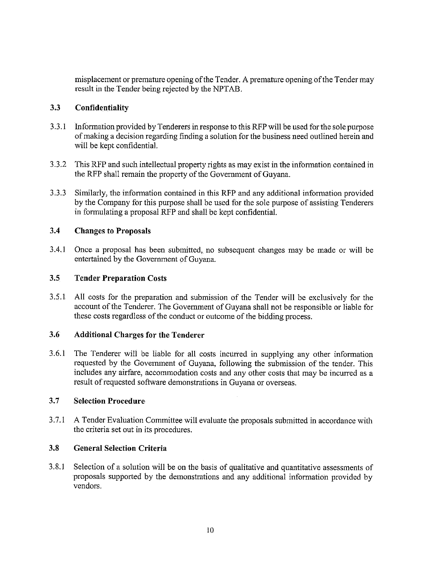misplacement or premature opening of the Tender. A premature opening of the Tender may result in the Tender being rejected by the NPTAB.

#### $3.3$ Confidentiality

- $3.3.1$ Information provided by Tenderers in response to this RFP will be used for the sole purpose of making a decision regarding finding a solution for the business need outlined herein and will be kept confidential.
- $3.3.2$ This RFP and such intellectual property rights as may exist in the information contained in the RFP shall remain the property of the Government of Guyana.
- $3.3.3$ Similarly, the information contained in this RFP and any additional information provided by the Company for this purpose shall be used for the sole purpose of assisting Tenderers in formulating a proposal RFP and shall be kept confidential.

#### $3.4$ **Changes to Proposals**

 $3.4.1$ Once a proposal has been submitted, no subsequent changes may be made or will be entertained by the Government of Guyana.

#### $3.5$ **Tender Preparation Costs**

 $3.5.1$ All costs for the preparation and submission of the Tender will be exclusively for the account of the Tenderer. The Government of Guyana shall not be responsible or liable for these costs regardless of the conduct or outcome of the bidding process.

#### 3.6 **Additional Charges for the Tenderer**

 $3.6.1$ The Tenderer will be liable for all costs incurred in supplying any other information requested by the Government of Guyana, following the submission of the tender. This includes any airfare, accommodation costs and any other costs that may be incurred as a result of requested software demonstrations in Guyana or overseas.

#### $3.7$ **Selection Procedure**

 $3:7.1$ A Tender Evaluation Committee will evaluate the proposals submitted in accordance with the criteria set out in its procedures.

#### $3.8$ **General Selection Criteria**

 $3.8.1$ Selection of a solution will be on the basis of qualitative and quantitative assessments of proposals supported by the demonstrations and any additional information provided by vendors.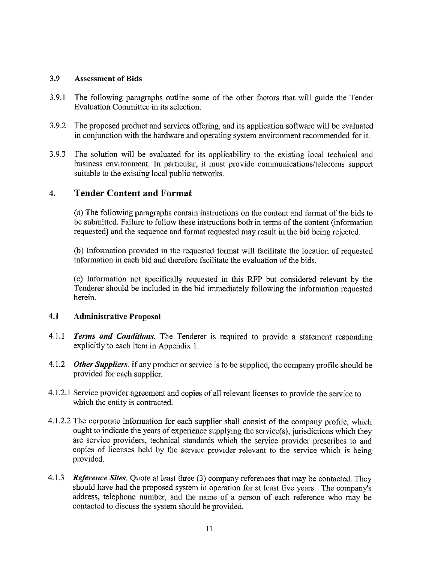#### 3.9 **Assessment of Bids**

- $3.9.1$ The following paragraphs outline some of the other factors that will guide the Tender Evaluation Committee in its selection.
- $3.9.2$ The proposed product and services offering, and its application software will be evaluated in conjunction with the hardware and operating system environment recommended for it.
- $3.9.3$ The solution will be evaluated for its applicability to the existing local technical and business environment. In particular, it must provide communications/telecoms support suitable to the existing local public networks.

#### **Tender Content and Format**  $\overline{4}$ .

(a) The following paragraphs contain instructions on the content and format of the bids to be submitted. Failure to follow these instructions both in terms of the content (information requested) and the sequence and format requested may result in the bid being rejected.

(b) Information provided in the requested format will facilitate the location of requested information in each bid and therefore facilitate the evaluation of the bids.

(c) Information not specifically requested in this RFP but considered relevant by the Tenderer should be included in the bid immediately following the information requested herein.

#### $4.1$ **Administrative Proposal**

- $4.1.1$ Terms and Conditions. The Tenderer is required to provide a statement responding explicitly to each item in Appendix 1.
- $4.1.2$ **Other Suppliers.** If any product or service is to be supplied, the company profile should be provided for each supplier.
- 4.1.2.1 Service provider agreement and copies of all relevant licenses to provide the service to which the entity is contracted.
- 4.1.2.2 The corporate information for each supplier shall consist of the company profile, which ought to indicate the years of experience supplying the service(s), jurisdictions which they are service providers, technical standards which the service provider prescribes to and copies of licenses held by the service provider relevant to the service which is being provided.
- 4.1.3 Reference Sites. Quote at least three (3) company references that may be contacted. They should have had the proposed system in operation for at least five years. The company's address, telephone number, and the name of a person of each reference who may be contacted to discuss the system should be provided.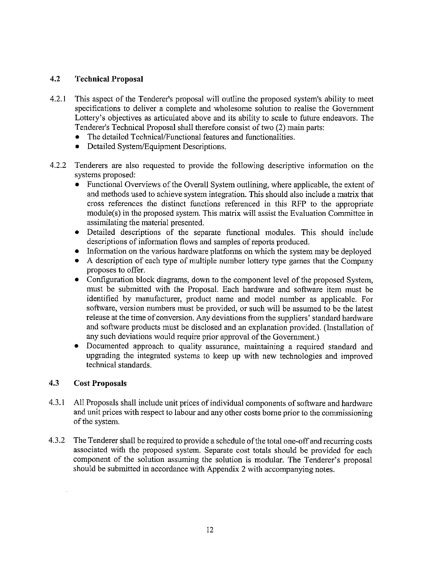#### $4.2$ **Technical Proposal**

- $4.2.1$ This aspect of the Tenderer's proposal will outline the proposed system's ability to meet specifications to deliver a complete and wholesome solution to realise the Government Lottery's objectives as articulated above and its ability to scale to future endeavors. The Tenderer's Technical Proposal shall therefore consist of two (2) main parts:
	- The detailed Technical/Functional features and functionalities.
	- Detailed System/Equipment Descriptions.  $\bullet$
- $4.2.2$ Tenderers are also requested to provide the following descriptive information on the systems proposed:
	- Functional Overviews of the Overall System outlining, where applicable, the extent of and methods used to achieve system integration. This should also include a matrix that cross references the distinct functions referenced in this RFP to the appropriate module(s) in the proposed system. This matrix will assist the Evaluation Committee in assimilating the material presented.
	- · Detailed descriptions of the separate functional modules. This should include descriptions of information flows and samples of reports produced.
	- Information on the various hardware platforms on which the system may be deployed
	- A description of each type of multiple number lottery type games that the Company  $\bullet$ proposes to offer.
	- Configuration block diagrams, down to the component level of the proposed System, must be submitted with the Proposal. Each hardware and software item must be identified by manufacturer, product name and model number as applicable. For software, version numbers must be provided, or such will be assumed to be the latest release at the time of conversion. Any deviations from the suppliers' standard hardware and software products must be disclosed and an explanation provided. (Installation of any such deviations would require prior approval of the Government.)
	- Documented approach to quality assurance, maintaining a required standard and  $\bullet$ upgrading the integrated systems to keep up with new technologies and improved technical standards.

#### $4.3$ **Cost Proposals**

- $4.3.1$ All Proposals shall include unit prices of individual components of software and hardware and unit prices with respect to labour and any other costs borne prior to the commissioning of the system.
- $4.3.2$ The Tenderer shall be required to provide a schedule of the total one-off and recurring costs associated with the proposed system. Separate cost totals should be provided for each component of the solution assuming the solution is modular. The Tenderer's proposal should be submitted in accordance with Appendix 2 with accompanying notes.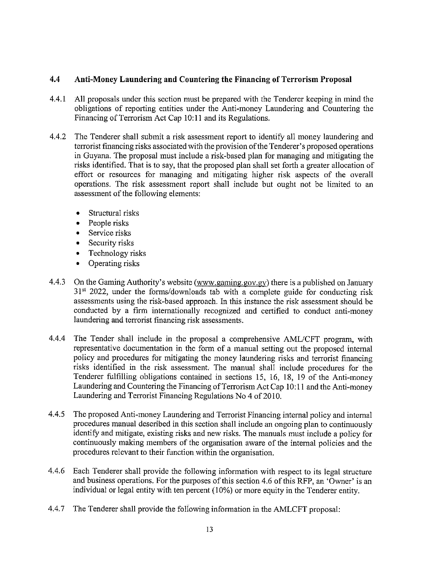#### 4.4 Anti-Money Laundering and Countering the Financing of Terrorism Proposal

- $4.4.1$ All proposals under this section must be prepared with the Tenderer keeping in mind the obligations of reporting entities under the Anti-money Laundering and Countering the Financing of Terrorism Act Cap 10:11 and its Regulations.
- $4.4.2$ The Tenderer shall submit a risk assessment report to identify all money laundering and terrorist financing risks associated with the provision of the Tenderer's proposed operations in Guyana. The proposal must include a risk-based plan for managing and mitigating the risks identified. That is to say, that the proposed plan shall set forth a greater allocation of effort or resources for managing and mitigating higher risk aspects of the overall operations. The risk assessment report shall include but ought not be limited to an assessment of the following elements:
	- Structural risks
	- People risks
	- Service risks
	- Security risks
	- Technology risks
	- Operating risks
- On the Gaming Authority's website (www.gaming.gov.gy) there is a published on January  $4.4.3$ 31<sup>st</sup> 2022, under the forms/downloads tab with a complete guide for conducting risk assessments using the risk-based approach. In this instance the risk assessment should be conducted by a firm internationally recognized and certified to conduct anti-money laundering and terrorist financing risk assessments.
- $4.4.4$ The Tender shall include in the proposal a comprehensive AML/CFT program, with representative documentation in the form of a manual setting out the proposed internal policy and procedures for mitigating the money laundering risks and terrorist financing risks identified in the risk assessment. The manual shall include procedures for the Tenderer fulfilling obligations contained in sections 15, 16, 18, 19 of the Anti-money Laundering and Countering the Financing of Terrorism Act Cap 10:11 and the Anti-money Laundering and Terrorist Financing Regulations No 4 of 2010.
- 4.4.5 The proposed Anti-money Laundering and Terrorist Financing internal policy and internal procedures manual described in this section shall include an ongoing plan to continuously identify and mitigate, existing risks and new risks. The manuals must include a policy for continuously making members of the organisation aware of the internal policies and the procedures relevant to their function within the organisation.
- 4.4.6 Each Tenderer shall provide the following information with respect to its legal structure and business operations. For the purposes of this section 4.6 of this RFP, an 'Owner' is an individual or legal entity with ten percent (10%) or more equity in the Tenderer entity.
- 4,4,7 The Tenderer shall provide the following information in the AMLCFT proposal: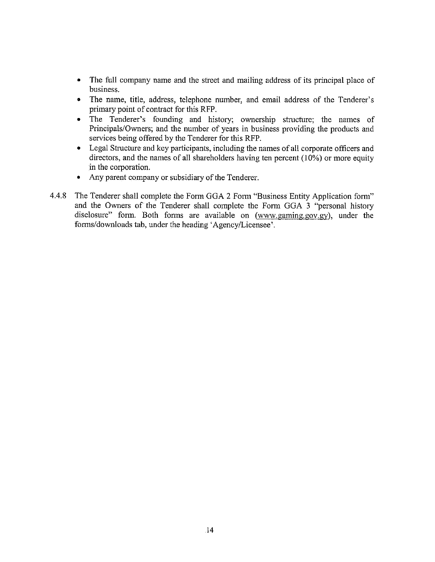- The full company name and the street and mailing address of its principal place of business.
- The name, title, address, telephone number, and email address of the Tenderer's primary point of contract for this RFP.
- The Tenderer's founding and history; ownership structure; the names of Principals/Owners; and the number of years in business providing the products and services being offered by the Tenderer for this RFP.
- Legal Structure and key participants, including the names of all corporate officers and directors, and the names of all shareholders having ten percent  $(10\%)$  or more equity in the corporation.
- Any parent company or subsidiary of the Tenderer.
- 4.4.8 The Tenderer shall complete the Form GGA 2 Form "Business Entity Application form" and the Owners of the Tenderer shall complete the Form GGA 3 "personal history disclosure" form. Both forms are available on (www.gaming.gov.gy), under the forms/downloads tab, under the heading 'Agency/Licensee'.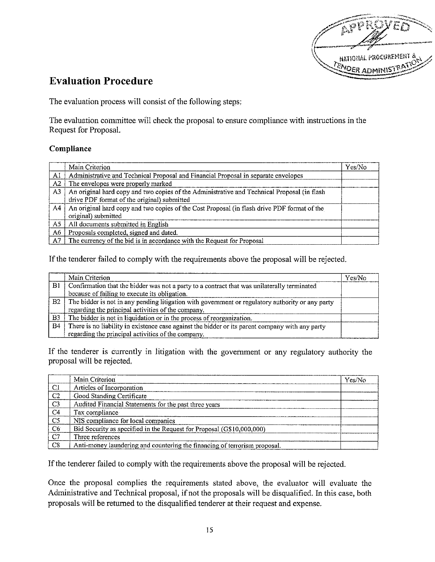

## **Evaluation Procedure**

The evaluation process will consist of the following steps:

The evaluation committee will check the proposal to ensure compliance with instructions in the Request for Proposal.

### Compliance

|                | Main Criterion                                                                                                                             | Yes/No |
|----------------|--------------------------------------------------------------------------------------------------------------------------------------------|--------|
| Al             | Administrative and Technical Proposal and Financial Proposal in separate envelopes                                                         |        |
| A2             | The envelopes were properly marked                                                                                                         |        |
| A <sub>3</sub> | An original hard copy and two copies of the Administrative and Technical Proposal (in flash<br>drive PDF format of the original) submitted |        |
| A4             | An original hard copy and two copies of the Cost Proposal (in flash drive PDF format of the<br>original) submitted                         |        |
| A5             | All documents submitted in English                                                                                                         |        |
| A6             | Proposals completed, signed and dated.                                                                                                     |        |
| A7             | The currency of the bid is in accordance with the Request for Proposal                                                                     |        |

If the tenderer failed to comply with the requirements above the proposal will be rejected.

|                | Main Criterion                                                                                   | Yes/No |
|----------------|--------------------------------------------------------------------------------------------------|--------|
| B1             | Confirmation that the bidder was not a party to a contract that was unilaterally terminated      |        |
|                | because of failing to execute its obligation.                                                    |        |
| B2             | The bidder is not in any pending litigation with government or regulatory authority or any party |        |
|                | regarding the principal activities of the company.                                               |        |
| B <sub>3</sub> | The bidder is not in liquidation or in the process of reorganization.                            |        |
| B <sub>4</sub> | There is no liability in existence case against the bidder or its parent company with any party  |        |
|                | regarding the principal activities of the company.                                               |        |

If the tenderer is currently in litigation with the government or any regulatory authority the proposal will be rejected.

|                | Main Criterion                                                            | Yes/No |
|----------------|---------------------------------------------------------------------------|--------|
| -CI            | Articles of Incorporation                                                 |        |
| C <sub>2</sub> | Good Standing Certificate                                                 |        |
| C <sub>3</sub> | Audited Financial Statements for the past three years                     |        |
| C <sub>4</sub> | Tax compliance                                                            |        |
| $ $ C5         | NIS compliance for local companies                                        |        |
| - C6           | Bid Security as specified in the Request for Proposal (G\$10,000,000)     |        |
| , C7           | Three references                                                          |        |
| C8             | Anti-money laundering and countering the financing of terrorism proposal. |        |

If the tenderer failed to comply with the requirements above the proposal will be rejected.

Once the proposal complies the requirements stated above, the evaluator will evaluate the Administrative and Technical proposal, if not the proposals will be disqualified. In this case, both proposals will be returned to the disqualified tenderer at their request and expense.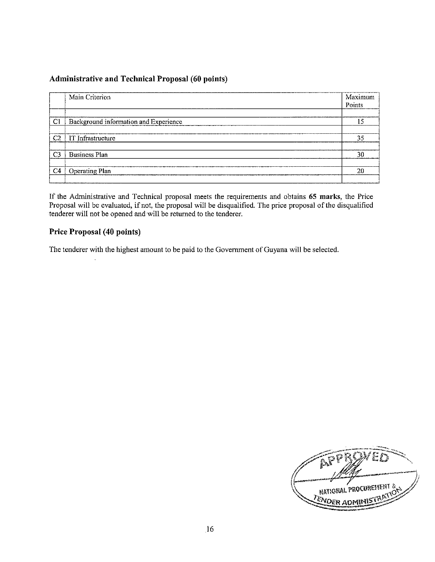## **Administrative and Technical Proposal (60 points)**

|                | Main Criterion                         | Maximum<br>Points |
|----------------|----------------------------------------|-------------------|
| Сl             | Background information and Experience. |                   |
| -C2            | IT Infrastructure                      | 35                |
| C <sub>3</sub> | <b>Business Plan</b>                   | 30                |
| C <sub>4</sub> | <b>Operating Plan</b>                  | 20                |

If the Administrative and Technical proposal meets the requirements and obtains 65 marks, the Price Proposal will be evaluated, if not, the proposal will be disqualified. The price proposal of the disqualified tenderer will not be opened and will be returned to the tenderer.

## Price Proposal (40 points)

The tenderer with the highest amount to be paid to the Government of Guyana will be selected.

្តុទ្រ NATIONAL PROCUREMENT **ZENDER ADMINI**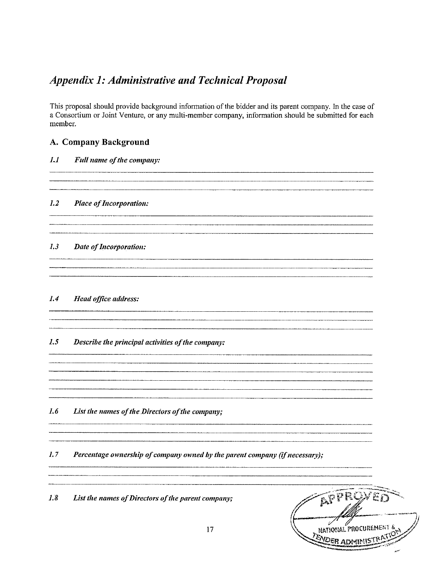## **Appendix 1: Administrative and Technical Proposal**

This proposal should provide background information of the bidder and its parent company. In the case of a Consortium or Joint Venture, or any multi-member company, information should be submitted for each member.

## A. Company Background

 $1.1$ **Full name of the company:** 

#### $I.2$ **Place of Incorporation:**

#### $1.3$ Date of Incorporation:

 $1.4$ **Head office address:** 

#### $1.5$ Describe the principal activities of the company:

 $1.6$ List the names of the Directors of the company;

 $1.7$ Percentage ownership of company owned by the parent company (if necessary);

 $1.8$ List the names of Directors of the parent company;

AFFROX NATIONAL PROCUREMENT & **ENDER ADMINIS**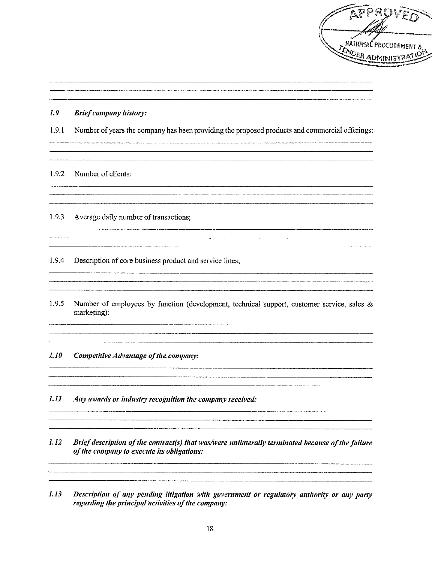

#### $1.9$ **Brief company history:**

Number of years the company has been providing the proposed products and commercial offerings:  $1.9.1$ 

<u> 1980 - Jan James James James James James James James James James James James James James James James James</u>

 $\overline{\phantom{a}}$  . The contract of the contract of the contract of  $\overline{\phantom{a}}$ 

### 1.9.2 Number of clients:

 $1.9.3$ Average daily number of transactions;

 $1.9.4$ Description of core business product and service lines;

 $1.9.5$ Number of employees by function (development, technical support, customer service, sales & marketing):

 $1.10$ Competitive Advantage of the company:

 $1.11$ Any awards or industry recognition the company received:

1.12 Brief description of the contract(s) that was/were unilaterally terminated because of the failure of the company to execute its obligations:

 $1.13$ Description of any pending litigation with government or regulatory authority or any party regarding the principal activities of the company: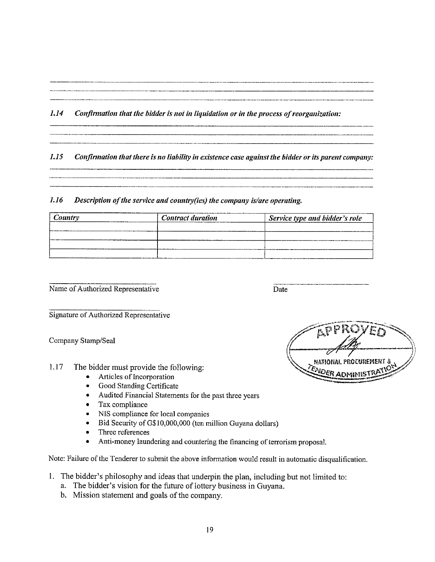#### $1.14$ Confirmation that the bidder is not in liquidation or in the process of reorganization:

#### $1.15$ Confirmation that there is no liability in existence case against the bidder or its parent company:

#### 1.16 Description of the service and country(ies) the company is/are operating.

| country                 | <b>Contract duration</b> | Service type and bidder's role |  |  |
|-------------------------|--------------------------|--------------------------------|--|--|
| ---------------         |                          |                                |  |  |
|                         |                          |                                |  |  |
| ----------------------- |                          |                                |  |  |
|                         |                          |                                |  |  |

Name of Authorized Representative

Date

Signature of Authorized Representative

Company Stamp/Seal

- $1.17$ The bidder must provide the following:
	- Articles of Incorporation  $\bullet$
	- Good Standing Certificate  $\bullet$
	- Audited Financial Statements for the past three years
	- Tax compliance  $\bullet$
	- $\bullet$ NIS compliance for local companies
	- Bid Security of G\$10,000,000 (ten million Guyana dollars)  $\bullet$
	- Three references  $\bullet$
	- Anti-money laundering and countering the financing of terrorism proposal.  $\bullet$

Note: Failure of the Tenderer to submit the above information would result in automatic disqualification.

- 1. The bidder's philosophy and ideas that underpin the plan, including but not limited to:
	- a. The bidder's vision for the future of lottery business in Guyana.
	- b. Mission statement and goals of the company.

**NATIONAL PROCUREME ENDER ADMINI**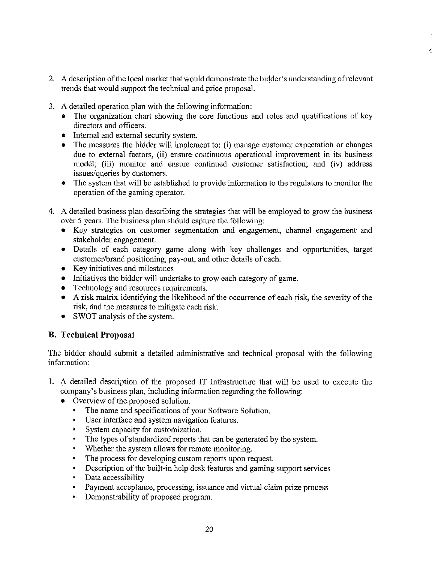2. A description of the local market that would demonstrate the bidder's understanding of relevant trends that would support the technical and price proposal.

ł,

- 3. A detailed operation plan with the following information:
	- The organization chart showing the core functions and roles and qualifications of key directors and officers.
	- Internal and external security system.
	- The measures the bidder will implement to: (i) manage customer expectation or changes  $\bullet$ due to external factors, (ii) ensure continuous operational improvement in its business model; (iii) monitor and ensure continued customer satisfaction; and (iv) address issues/queries by customers.
	- The system that will be established to provide information to the regulators to monitor the operation of the gaming operator.
- 4. A detailed business plan describing the strategies that will be employed to grow the business over 5 years. The business plan should capture the following:
	- Key strategies on customer segmentation and engagement, channel engagement and stakeholder engagement.
	- · Details of each category game along with key challenges and opportunities, target customer/brand positioning, pay-out, and other details of each.
	- Key initiatives and milestones
	- Initiatives the bidder will undertake to grow each category of game.
	- Technology and resources requirements.  $\bullet$
	- A risk matrix identifying the likelihood of the occurrence of each risk, the severity of the risk, and the measures to mitigate each risk.
	- SWOT analysis of the system.

## **B.** Technical Proposal

The bidder should submit a detailed administrative and technical proposal with the following information:

- 1. A detailed description of the proposed IT Infrastructure that will be used to execute the company's business plan, including information regarding the following:
	- Overview of the proposed solution.
		- The name and specifications of your Software Solution.  $\blacksquare$
		- User interface and system navigation features.
		- System capacity for customization.
		- The types of standardized reports that can be generated by the system.
		- Whether the system allows for remote monitoring.
		- The process for developing custom reports upon request.  $\blacksquare$
		- Description of the built-in help desk features and gaming support services  $\blacksquare$
		- Data accessibility  $\blacksquare$
		- Payment acceptance, processing, issuance and virtual claim prize process  $\blacksquare$
		- Demonstrability of proposed program. œ,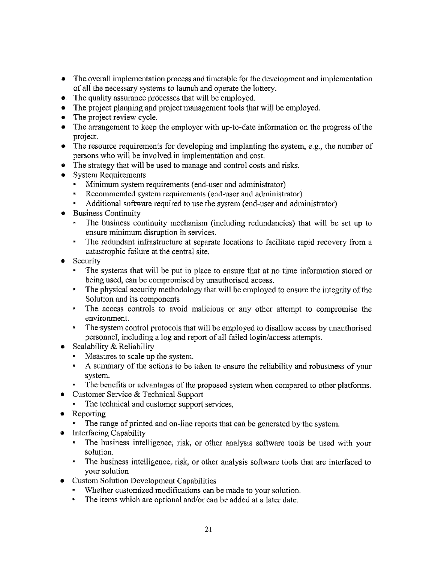- The overall implementation process and timetable for the development and implementation  $\bullet$ of all the necessary systems to launch and operate the lottery.
- The quality assurance processes that will be employed.
- The project planning and project management tools that will be employed.
- The project review cycle.  $\bullet$
- The arrangement to keep the employer with up-to-date information on the progress of the project.
- $\bullet$  The resource requirements for developing and implanting the system, e.g., the number of persons who will be involved in implementation and cost.
- The strategy that will be used to manage and control costs and risks.
- $\bullet$ System Requirements
	- Minimum system requirements (end-user and administrator)  $\blacksquare$
	- Recommended system requirements (end-user and administrator)
	- Additional software required to use the system (end-user and administrator)
- Business Continuity
	- The business continuity mechanism (including redundancies) that will be set up to  $\blacksquare$ ensure minimum disruption in services.
	- $\blacksquare$ The redundant infrastructure at separate locations to facilitate rapid recovery from a catastrophic failure at the central site.
- Security
	- The systems that will be put in place to ensure that at no time information stored or being used, can be compromised by unauthorised access.
	- The physical security methodology that will be employed to ensure the integrity of the  $\mathbf{R}^{(1)}$ Solution and its components
	- The access controls to avoid malicious or any other attempt to compromise the  $\blacksquare$ environment.
	- $\blacksquare$ The system control protocols that will be employed to disallow access by unauthorised personnel, including a log and report of all failed login/access attempts.
- Scalability  $&$  Reliability  $\bullet$ 
	- Measures to scale up the system.
	- A summary of the actions to be taken to ensure the reliability and robustness of your system.
	- The benefits or advantages of the proposed system when compared to other platforms.
- Customer Service & Technical Support  $\bullet$ 
	- The technical and customer support services.  $\blacksquare$
- Reporting
	- $\mathbf{R}^{(1)}$  . The range of printed and on-line reports that can be generated by the system.
- Interfacing Capability  $\bullet$ 
	- The business intelligence, risk, or other analysis software tools be used with your solution.
	- The business intelligence, risk, or other analysis software tools that are interfaced to  $\blacksquare$ your solution
- **Custom Solution Development Capabilities** 
	- Whether customized modifications can be made to your solution.
	- $\mathbf{a}$ The items which are optional and/or can be added at a later date.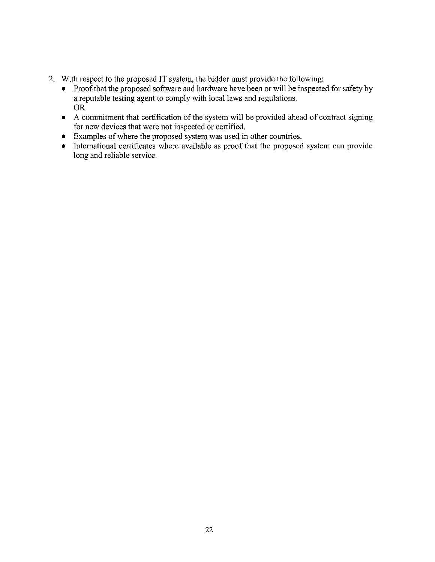- 2. With respect to the proposed IT system, the bidder must provide the following:
	- $\bullet$ Proof that the proposed software and hardware have been or will be inspected for safety by a reputable testing agent to comply with local laws and regulations. **OR**
	- A commitment that certification of the system will be provided ahead of contract signing for new devices that were not inspected or certified.
	- Examples of where the proposed system was used in other countries.
	- International certificates where available as proof that the proposed system can provide long and reliable service.